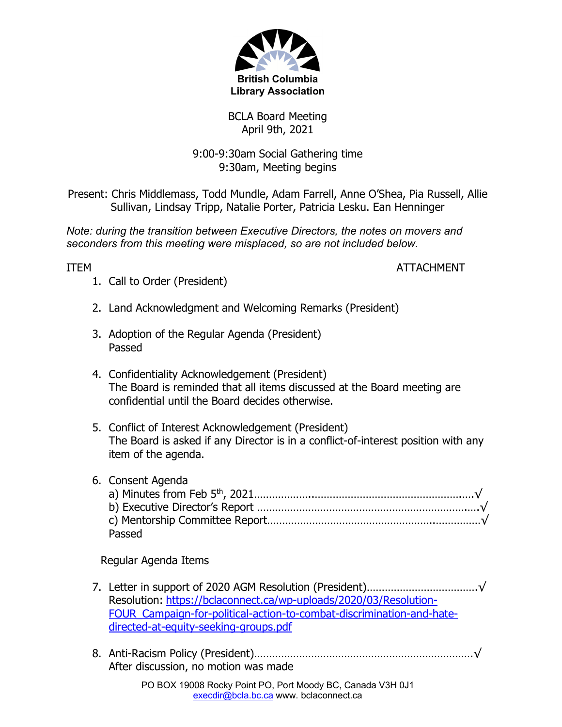

BCLA Board Meeting April 9th, 2021

9:00-9:30am Social Gathering time 9:30am, Meeting begins

Present: Chris Middlemass, Todd Mundle, Adam Farrell, Anne O'Shea, Pia Russell, Allie Sullivan, Lindsay Tripp, Natalie Porter, Patricia Lesku. Ean Henninger

*Note: during the transition between Executive Directors, the notes on movers and seconders from this meeting were misplaced, so are not included below.* 

ITEM ATTACHMENT

- 1. Call to Order (President)
- 2. Land Acknowledgment and Welcoming Remarks (President)
- 3. Adoption of the Regular Agenda (President) Passed
- 4. Confidentiality Acknowledgement (President) The Board is reminded that all items discussed at the Board meeting are confidential until the Board decides otherwise.
- 5. Conflict of Interest Acknowledgement (President) The Board is asked if any Director is in a conflict-of-interest position with any item of the agenda.

| 6. Consent Agenda |
|-------------------|
|                   |
|                   |
|                   |
| Passed            |

Regular Agenda Items

- 7. Letter in support of 2020 AGM Resolution (President)……………………………….√ Resolution: https://bclaconnect.ca/wp-uploads/2020/03/Resolution-FOUR Campaign-for-political-action-to-combat-discrimination-and-hatedirected-at-equity-seeking-groups.pdf
- 8. Anti-Racism Policy (President)……………………………………………………………….√ After discussion, no motion was made